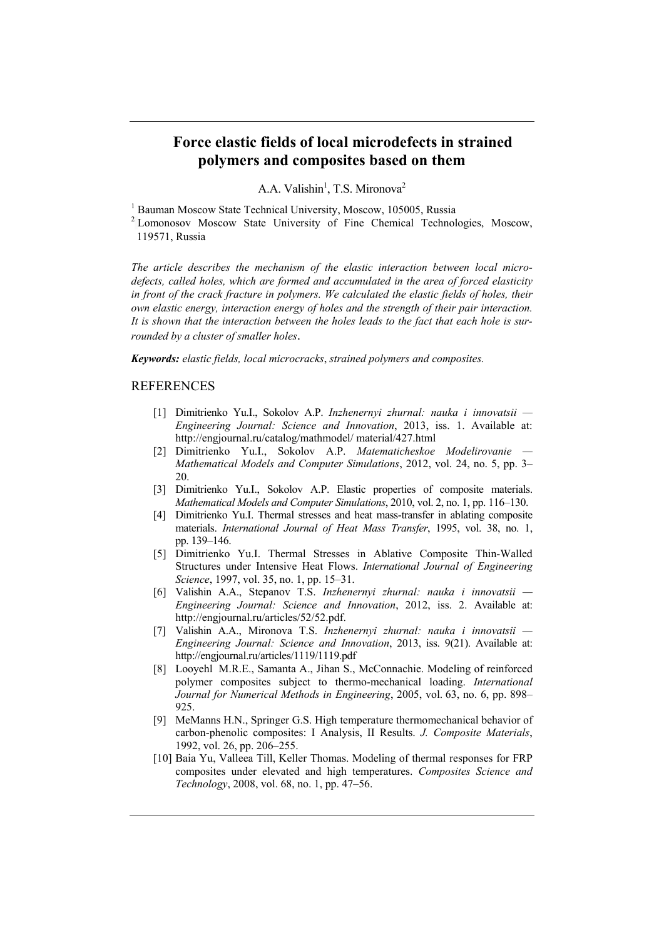## **Force elastic fields of local microdefects in strained polymers and composites based on them**

A.A. Valishin<sup>1</sup>, T.S. Mironova<sup>2</sup>

<sup>1</sup> Bauman Moscow State Technical University, Moscow, 105005, Russia<br><sup>2</sup> Lomonosov Moscow State University of Fine Chemical Technologies, Moscow, 119571, Russia

*The article describes the mechanism of the elastic interaction between local microdefects, called holes, which are formed and accumulated in the area of forced elasticity in front of the crack fracture in polymers. We calculated the elastic fields of holes, their own elastic energy, interaction energy of holes and the strength of their pair interaction. It is shown that the interaction between the holes leads to the fact that each hole is surrounded by a cluster of smaller holes*.

*Keywords: elastic fields, local microcracks*, *strained polymers and composites.* 

## **REFERENCES**

1

- [1] Dimitrienko Yu.I., Sokolov A.P. *Inzhenernyi zhurnal: nauka i innovatsii Engineering Journal: Science and Innovation*, 2013, iss. 1. Available at: http://engjournal.ru/catalog/mathmodel/ material/427.html
- [2] Dimitrienko Yu.I., Sokolov A.P. *Matematicheskoe Modelirovanie Mathematical Models and Computer Simulations*, 2012, vol. 24, no. 5, pp. 3– 20.
- [3] Dimitrienko Yu.I., Sokolov A.P. Elastic properties of composite materials. *Mathematical Models and Computer Simulations*, 2010, vol. 2, no. 1, pp. 116–130.
- [4] Dimitrienko Yu.I. Thermal stresses and heat mass-transfer in ablating composite materials. *International Journal of Heat Mass Transfer*, 1995, vol. 38, no. 1, pp. 139–146.
- [5] Dimitrienko Yu.I. Thermal Stresses in Ablative Composite Thin-Walled Structures under Intensive Heat Flows. *International Journal of Engineering Science*, 1997, vol. 35, no. 1, pp. 15–31.
- [6] Valishin A.A., Stepanov T.S. *Inzhenernyi zhurnal: nauka i innovatsii Engineering Journal: Science and Innovation*, 2012, iss. 2. Available at: http://engjournal.ru/articles/52/52.pdf.
- [7] Valishin A.A., Mironova T.S. *Inzhenernyi zhurnal: nauka i innovatsii Engineering Journal: Science and Innovation*, 2013, iss. 9(21). Available at: http://engjournal.ru/articles/1119/1119.pdf
- [8] Looyehl M.R.E., Samanta A., Jihan S., McConnachie. Modeling of reinforced polymer composites subject to thermo-mechanical loading. *International Journal for Numerical Methods in Engineering*, 2005, vol. 63, no. 6, pp. 898– 925.
- [9] MeManns H.N., Springer G.S. High temperature thermomechanical behavior of carbon-phenolic composites: I Analysis, II Results. *J. Composite Materials*, 1992, vol. 26, pp. 206–255.
- [10] Baia Yu, Valleea Till, Keller Thomas. Modeling of thermal responses for FRP composites under elevated and high temperatures. *Composites Science and Technology*, 2008, vol. 68, no. 1, pp. 47–56.